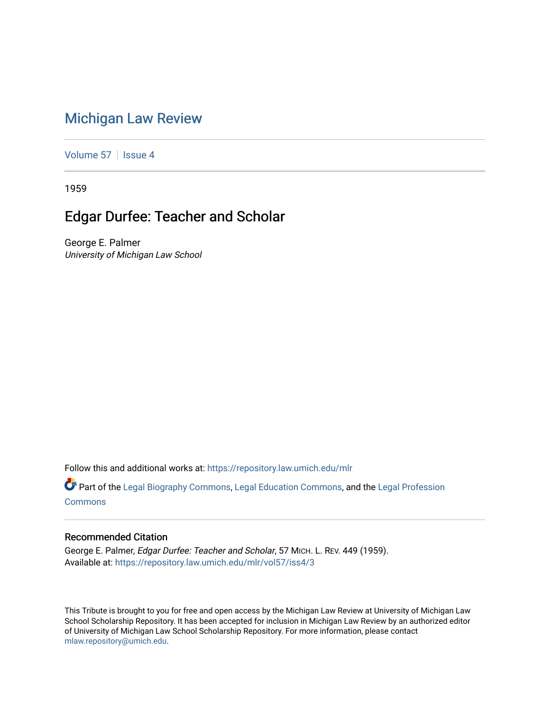## [Michigan Law Review](https://repository.law.umich.edu/mlr)

[Volume 57](https://repository.law.umich.edu/mlr/vol57) | [Issue 4](https://repository.law.umich.edu/mlr/vol57/iss4)

1959

# Edgar Durfee: Teacher and Scholar

George E. Palmer University of Michigan Law School

Follow this and additional works at: [https://repository.law.umich.edu/mlr](https://repository.law.umich.edu/mlr?utm_source=repository.law.umich.edu%2Fmlr%2Fvol57%2Fiss4%2F3&utm_medium=PDF&utm_campaign=PDFCoverPages) 

Part of the [Legal Biography Commons,](http://network.bepress.com/hgg/discipline/834?utm_source=repository.law.umich.edu%2Fmlr%2Fvol57%2Fiss4%2F3&utm_medium=PDF&utm_campaign=PDFCoverPages) [Legal Education Commons,](http://network.bepress.com/hgg/discipline/857?utm_source=repository.law.umich.edu%2Fmlr%2Fvol57%2Fiss4%2F3&utm_medium=PDF&utm_campaign=PDFCoverPages) and the [Legal Profession](http://network.bepress.com/hgg/discipline/1075?utm_source=repository.law.umich.edu%2Fmlr%2Fvol57%2Fiss4%2F3&utm_medium=PDF&utm_campaign=PDFCoverPages)  [Commons](http://network.bepress.com/hgg/discipline/1075?utm_source=repository.law.umich.edu%2Fmlr%2Fvol57%2Fiss4%2F3&utm_medium=PDF&utm_campaign=PDFCoverPages)

#### Recommended Citation

George E. Palmer, Edgar Durfee: Teacher and Scholar, 57 MICH. L. REV. 449 (1959). Available at: [https://repository.law.umich.edu/mlr/vol57/iss4/3](https://repository.law.umich.edu/mlr/vol57/iss4/3?utm_source=repository.law.umich.edu%2Fmlr%2Fvol57%2Fiss4%2F3&utm_medium=PDF&utm_campaign=PDFCoverPages)

This Tribute is brought to you for free and open access by the Michigan Law Review at University of Michigan Law School Scholarship Repository. It has been accepted for inclusion in Michigan Law Review by an authorized editor of University of Michigan Law School Scholarship Repository. For more information, please contact [mlaw.repository@umich.edu.](mailto:mlaw.repository@umich.edu)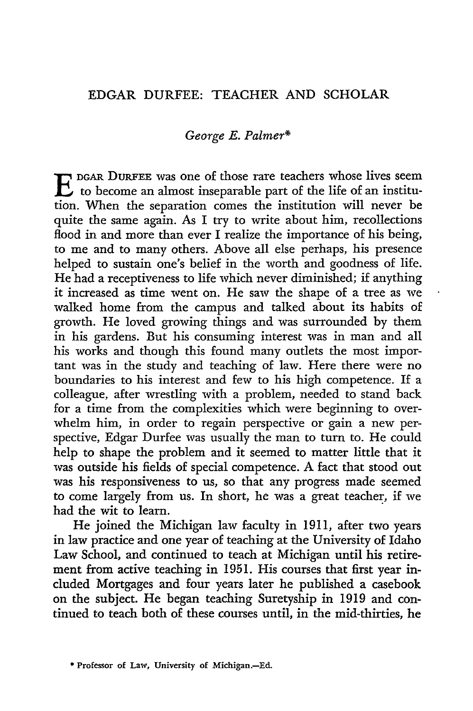### EDGAR DURFEE: TEACHER AND SCHOLAR

#### *George E. Palmer\**

E DGAR DURFEE was one of those rare teachers whose lives seem<br>to become an almost inseparable part of the life of an institution. When the separation comes the institution will never be quite the same again. As I try to write about him, recollections flood in and more than ever I realize the importance of his being, to me and to many others. Above all else perhaps, his presence helped to sustain one's belief in the worth and goodness of life. He had a receptiveness to life which never diminished; if anything it increased as time went on. He saw the shape of a tree as we walked home from the campus and talked about its habits of growth. He loved growing things and was surrounded by them in his gardens. But his consuming interest was in man and all his works and though this found many outlets the most important was in the study and teaching of law. Here there were no boundaries to his interest and few to his high competence. If a colleague, after wrestling with a problem, needed to stand back for a time from the complexities which were beginning to overwhelm him, in order to regain perspective or gain a new perspective, Edgar Durfee was usually the man to turn to. He could help to shape the problem and it seemed to matter little that it was outside his fields of special competence. A fact that stood out was his responsiveness to us, so that any progress made seemed to come largely from us. In short, he was a great teacher, if we had the wit to learn.

He joined the Michigan law faculty in 1911, after two years in law practice and one year of teaching at the University of Idaho Law School, and continued to teach at Michigan until his retirement from active teaching in 1951. His courses that first year included Mortgages and four years later he published a casebook on the subject. He began teaching Suretyship in 1919 and continued to teach both of these courses until, in the mid-thirties, he

<sup>•</sup> Professor of Law, University of Michigan.-Ed.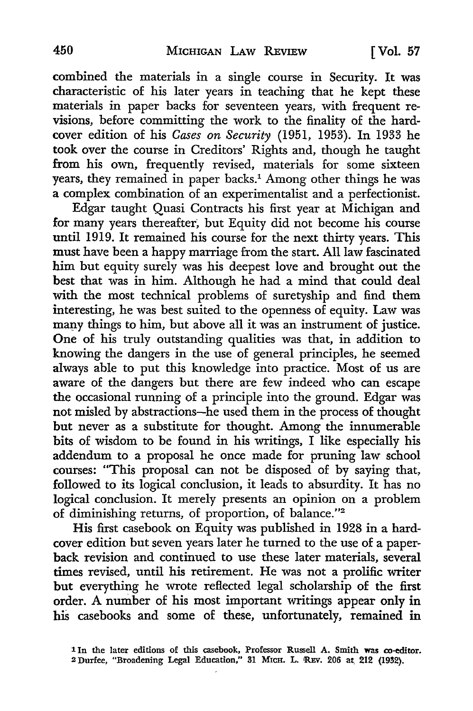combined the materials in a single course in Security. It was characteristic of his later years in teaching that he kept these materials in paper backs for seventeen years, with frequent revisions, before committing the work to the finality of the hardcover edition of his *Cases on Security* (1951, 1953). In 1933 he took over the course in Creditors' Rights and, though he taught from his own, frequently revised, materials for some sixteen years, they remained in paper backs.<sup>1</sup> Among other things he was a complex combination of an experimentalist and a perfectionist.

Edgar taught Quasi Contracts his first year at Michigan and for many years thereafter, but Equity did not become his course until 1919. It remained his course for the next thirty years. This must have been a happy marriage from the start. All law fascinated him but equity surely was his deepest love and brought out the best that was in him. Although he had a mind that could deal with the most technical problems of suretyship and find them interesting, he was best suited to the openness of equity. Law was many things to him, but above all it was an instrument of justice. One of his truly outstanding qualities was that, in addition to knowing the dangers in the use of general principles, he seemed always able to put this knowledge into practice. Most of us are aware of the dangers but there are few indeed who can escape the occasional running of a principle into the ground. Edgar was not misled by abstractions-he used them in the process of thought but never as a substitute for thought. Among the innumerable bits of wisdom to be found in his writings, I like especially his addendum to a proposal he once made for pruning law school courses: "This proposal can not be disposed of by saying that, followed to its logical conclusion, it leads to absurdity. It has no logical conclusion. It merely presents an opinion on a problem of diminishing returns, of proportion, of balance."<sup>2</sup>

His first casebook on Equity was published in 1928 in a hardcover edition but seven years later he turned to the use of a paperback revision and continued to use these later materials, several times revised, until his retirement. He was not a prolific writer but everything he wrote reflected legal scholarship of the first order. A number of his most important writings appear only in his casebooks and some of these, unfortunately, remained in

<sup>1</sup> In the later editions of this casebook, Professor Russell A. Smith was co-editor. 2 Durfee, "Broadening Legal Education," 81 Mica. L. IREv. 206 at. 212 (1932).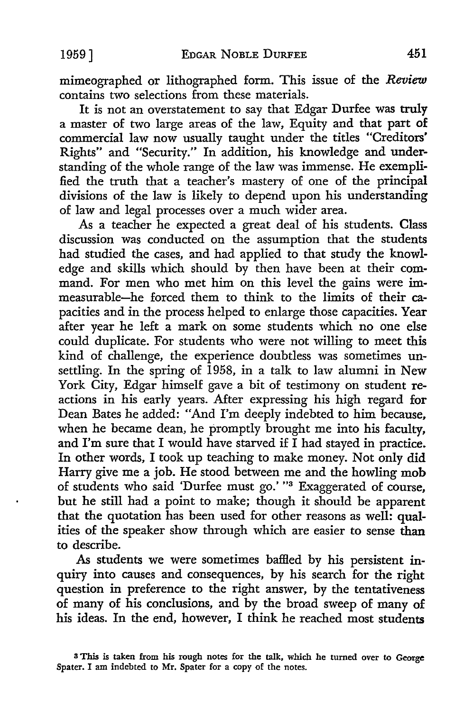mimeographed or lithographed form. This issue of the *Review*  contains two selections from these materials.

It is not an overstatement to say that Edgar Durfee was truly a master of two large areas of the law, Equity and that part of commercial law now usually taught under the titles "Creditors' Rights" and "Security." In addition, his knowledge and understanding of the whole range of the law was immense. He exemplified the truth that a teacher's mastery of one of the principal divisions of the law is likely to depend upon his understanding of law and legal processes over a much wider area.

As a teacher he expected a great deal of his students. **Class**  discussion was conducted on the assumption that the students had studied the cases, and had applied to that study the knowledge and skills which should by then have been at their command. For men who met him on this level the gains were immeasurable-he forced them to think to the limits of their capacities and in the process helped to enlarge those capacities. Year after year he left a mark on some students which no one else could duplicate. For students who were not willing to meet this kind of challenge, the experience doubtless was sometimes **un**settling. In the spring of 1958, in a talk to law alumni in New York City, Edgar himself gave a bit of testimony on student reactions in his early years. After expressing his high regard for Dean Bates he added: "And I'm deeply indebted to him because, when he became dean, he promptly brought me into his faculty, and I'm sure that I would have starved if I had stayed in practice. In other words, I took up teaching to make money. Not only did Harry give me a job. He stood between me and the howling mob of students who said 'Durfee must go.' "3 Exaggerated of course, but he still had a point to make; though it should be apparent that the quotation has been used for other reasons as well: qualities of the speaker show through which are easier to sense than to describe.

As students we were sometimes baffled by his persistent inquiry into causes and consequences, by his search for the right question in preference to the right answer, by the tentativeness of many of his conclusions, and by the broad sweep of many of his ideas. In the end, however, I think he reached most students

<sup>&</sup>lt;sup>3</sup>This is taken from his rough notes for the talk, which he turned over to George Spater. I am indebted to Mr. Spater for a copy of the notes.